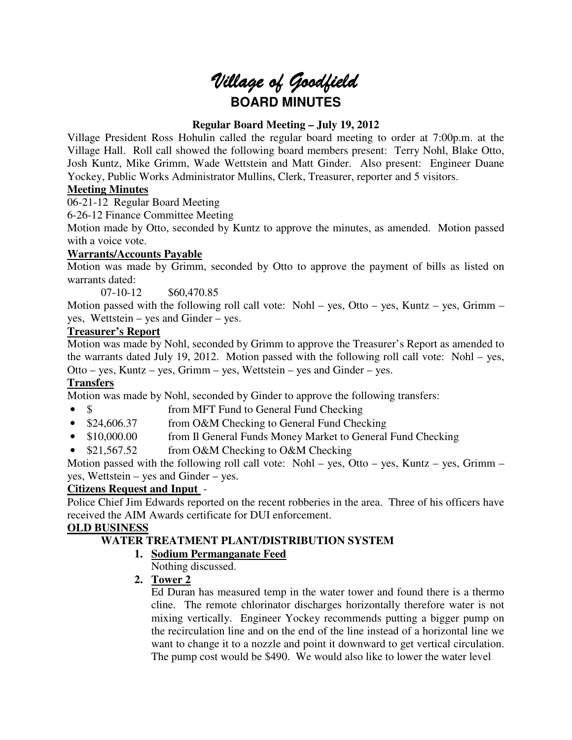# Village of Goodfield **BOARD MINUTES**

# **Regular Board Meeting – July 19, 2012**

Village President Ross Hohulin called the regular board meeting to order at 7:00p.m. at the Village Hall. Roll call showed the following board members present: Terry Nohl, Blake Otto, Josh Kuntz, Mike Grimm, Wade Wettstein and Matt Ginder. Also present: Engineer Duane Yockey, Public Works Administrator Mullins, Clerk, Treasurer, reporter and 5 visitors.

# **Meeting Minutes**

06-21-12 Regular Board Meeting

6-26-12 Finance Committee Meeting

Motion made by Otto, seconded by Kuntz to approve the minutes, as amended. Motion passed with a voice vote.

# **Warrants/Accounts Payable**

Motion was made by Grimm, seconded by Otto to approve the payment of bills as listed on warrants dated:

07-10-12 \$60,470.85

Motion passed with the following roll call vote: Nohl – yes, Otto – yes, Kuntz – yes, Grimm – yes, Wettstein – yes and Ginder – yes.

# **Treasurer's Report**

Motion was made by Nohl, seconded by Grimm to approve the Treasurer's Report as amended to the warrants dated July 19, 2012. Motion passed with the following roll call vote: Nohl – yes, Otto – yes, Kuntz – yes, Grimm – yes, Wettstein – yes and Ginder – yes.

# **Transfers**

Motion was made by Nohl, seconded by Ginder to approve the following transfers:

- \$ from MFT Fund to General Fund Checking
- \$24,606.37 from O&M Checking to General Fund Checking
- \$10,000.00 from Il General Funds Money Market to General Fund Checking
- \$21,567.52 from O&M Checking to O&M Checking

Motion passed with the following roll call vote: Nohl – yes, Otto – yes, Kuntz – yes, Grimm – yes, Wettstein – yes and Ginder – yes.

# **Citizens Request and Input** -

Police Chief Jim Edwards reported on the recent robberies in the area. Three of his officers have received the AIM Awards certificate for DUI enforcement.

# **OLD BUSINESS**

# **WATER TREATMENT PLANT/DISTRIBUTION SYSTEM**

- **1. Sodium Permanganate Feed**
	- Nothing discussed.
- **2. Tower 2**

Ed Duran has measured temp in the water tower and found there is a thermo cline. The remote chlorinator discharges horizontally therefore water is not mixing vertically. Engineer Yockey recommends putting a bigger pump on the recirculation line and on the end of the line instead of a horizontal line we want to change it to a nozzle and point it downward to get vertical circulation. The pump cost would be \$490. We would also like to lower the water level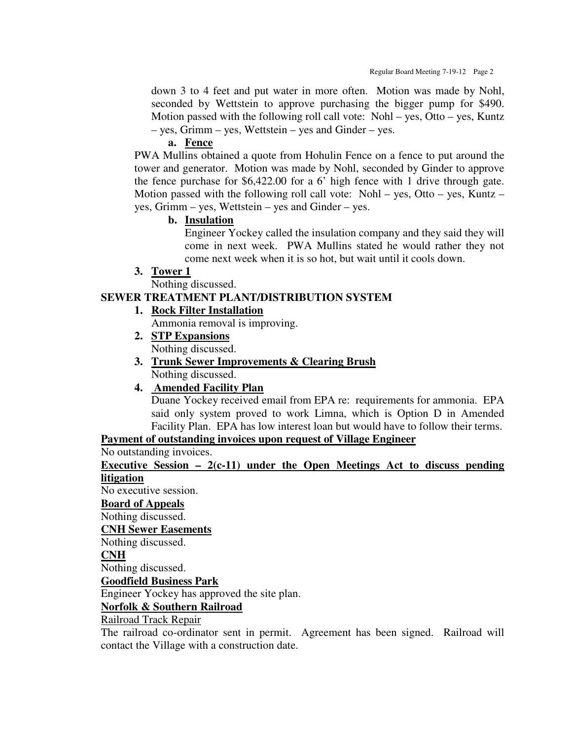down 3 to 4 feet and put water in more often. Motion was made by Nohl, seconded by Wettstein to approve purchasing the bigger pump for \$490. Motion passed with the following roll call vote: Nohl – yes, Otto – yes, Kuntz – yes, Grimm – yes, Wettstein – yes and Ginder – yes.

#### **a. Fence**

PWA Mullins obtained a quote from Hohulin Fence on a fence to put around the tower and generator. Motion was made by Nohl, seconded by Ginder to approve the fence purchase for \$6,422.00 for a 6' high fence with 1 drive through gate. Motion passed with the following roll call vote: Nohl – yes, Otto – yes, Kuntz – yes, Grimm – yes, Wettstein – yes and Ginder – yes.

#### **b. Insulation**

Engineer Yockey called the insulation company and they said they will come in next week. PWA Mullins stated he would rather they not come next week when it is so hot, but wait until it cools down.

#### **3. Tower 1**

Nothing discussed.

## **SEWER TREATMENT PLANT/DISTRIBUTION SYSTEM**

# **1. Rock Filter Installation**

Ammonia removal is improving.

- **2. STP Expansions** Nothing discussed.
- **3. Trunk Sewer Improvements & Clearing Brush** Nothing discussed.

## **4. Amended Facility Plan**

Duane Yockey received email from EPA re: requirements for ammonia. EPA said only system proved to work Limna, which is Option D in Amended Facility Plan. EPA has low interest loan but would have to follow their terms.

# **Payment of outstanding invoices upon request of Village Engineer**

No outstanding invoices.

**Executive Session – 2(c-11) under the Open Meetings Act to discuss pending litigation**

No executive session.

**Board of Appeals**

Nothing discussed.

**CNH Sewer Easements**

Nothing discussed.

#### **CNH**

Nothing discussed.

**Goodfield Business Park**

Engineer Yockey has approved the site plan.

# **Norfolk & Southern Railroad**

Railroad Track Repair

The railroad co-ordinator sent in permit. Agreement has been signed. Railroad will contact the Village with a construction date.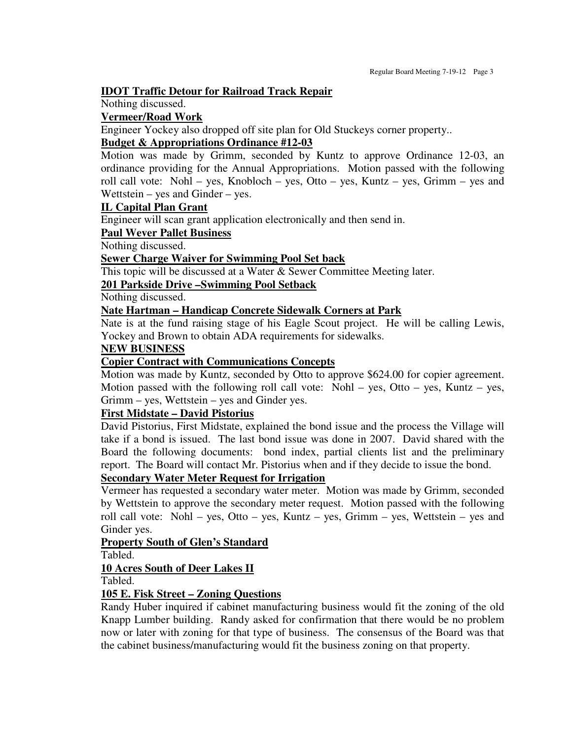#### **IDOT Traffic Detour for Railroad Track Repair**

Nothing discussed.

#### **Vermeer/Road Work**

Engineer Yockey also dropped off site plan for Old Stuckeys corner property..

## **Budget & Appropriations Ordinance #12-03**

Motion was made by Grimm, seconded by Kuntz to approve Ordinance 12-03, an ordinance providing for the Annual Appropriations. Motion passed with the following roll call vote: Nohl – yes, Knobloch – yes, Otto – yes, Kuntz – yes, Grimm – yes and Wettstein – yes and Ginder – yes.

#### **IL Capital Plan Grant**

Engineer will scan grant application electronically and then send in.

### **Paul Wever Pallet Business**

Nothing discussed.

#### **Sewer Charge Waiver for Swimming Pool Set back**

This topic will be discussed at a Water & Sewer Committee Meeting later.

**201 Parkside Drive –Swimming Pool Setback**

Nothing discussed.

# **Nate Hartman – Handicap Concrete Sidewalk Corners at Park**

Nate is at the fund raising stage of his Eagle Scout project. He will be calling Lewis, Yockey and Brown to obtain ADA requirements for sidewalks.

#### **NEW BUSINESS**

#### **Copier Contract with Communications Concepts**

Motion was made by Kuntz, seconded by Otto to approve \$624.00 for copier agreement. Motion passed with the following roll call vote: Nohl – yes, Otto – yes, Kuntz – yes, Grimm – yes, Wettstein – yes and Ginder yes.

## **First Midstate – David Pistorius**

David Pistorius, First Midstate, explained the bond issue and the process the Village will take if a bond is issued. The last bond issue was done in 2007. David shared with the Board the following documents: bond index, partial clients list and the preliminary report. The Board will contact Mr. Pistorius when and if they decide to issue the bond.

## **Secondary Water Meter Request for Irrigation**

Vermeer has requested a secondary water meter. Motion was made by Grimm, seconded by Wettstein to approve the secondary meter request. Motion passed with the following roll call vote: Nohl – yes, Otto – yes, Kuntz – yes, Grimm – yes, Wettstein – yes and Ginder yes.

# **Property South of Glen's Standard**

Tabled.

## **10 Acres South of Deer Lakes II**

Tabled.

## **105 E. Fisk Street – Zoning Questions**

Randy Huber inquired if cabinet manufacturing business would fit the zoning of the old Knapp Lumber building. Randy asked for confirmation that there would be no problem now or later with zoning for that type of business. The consensus of the Board was that the cabinet business/manufacturing would fit the business zoning on that property.